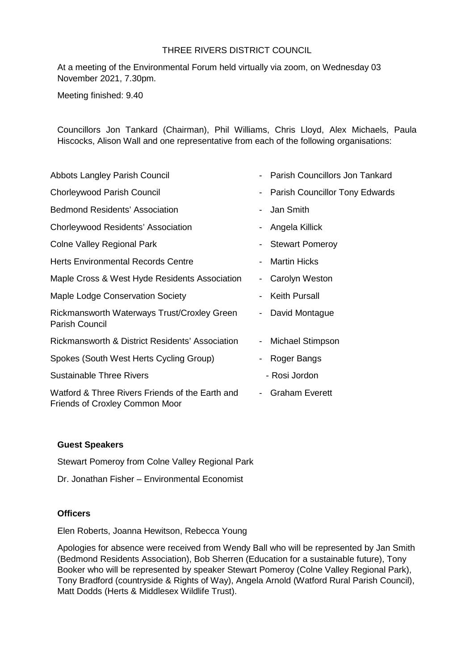### THREE RIVERS DISTRICT COUNCIL

At a meeting of the Environmental Forum held virtually via zoom, on Wednesday 03 November 2021, 7.30pm.

Meeting finished: 9.40

Councillors Jon Tankard (Chairman), Phil Williams, Chris Lloyd, Alex Michaels, Paula Hiscocks, Alison Wall and one representative from each of the following organisations:

| Abbots Langley Parish Council                                                     | $\overline{\phantom{a}}$ | Parish Councillors Jon Tankard |
|-----------------------------------------------------------------------------------|--------------------------|--------------------------------|
| <b>Chorleywood Parish Council</b>                                                 | -                        | Parish Councillor Tony Edwards |
| <b>Bedmond Residents' Association</b>                                             | $\blacksquare$           | Jan Smith                      |
| Chorleywood Residents' Association                                                | $\overline{\phantom{a}}$ | Angela Killick                 |
| <b>Colne Valley Regional Park</b>                                                 | $\overline{\phantom{a}}$ | <b>Stewart Pomeroy</b>         |
| <b>Herts Environmental Records Centre</b>                                         | $\overline{\phantom{a}}$ | <b>Martin Hicks</b>            |
| Maple Cross & West Hyde Residents Association                                     | $\overline{\phantom{a}}$ | Carolyn Weston                 |
| Maple Lodge Conservation Society                                                  | $\overline{\phantom{a}}$ | <b>Keith Pursall</b>           |
| Rickmansworth Waterways Trust/Croxley Green<br><b>Parish Council</b>              | $\blacksquare$           | David Montague                 |
| Rickmansworth & District Residents' Association                                   | $\blacksquare$           | Michael Stimpson               |
| Spokes (South West Herts Cycling Group)                                           | $\overline{\phantom{a}}$ | Roger Bangs                    |
| <b>Sustainable Three Rivers</b>                                                   |                          | - Rosi Jordon                  |
| Watford & Three Rivers Friends of the Earth and<br>Friends of Croxley Common Moor | $\overline{\phantom{a}}$ | <b>Graham Everett</b>          |

### **Guest Speakers**

Stewart Pomeroy from Colne Valley Regional Park

Dr. Jonathan Fisher – Environmental Economist

### **Officers**

Elen Roberts, Joanna Hewitson, Rebecca Young

Apologies for absence were received from Wendy Ball who will be represented by Jan Smith (Bedmond Residents Association), Bob Sherren (Education for a sustainable future), Tony Booker who will be represented by speaker Stewart Pomeroy (Colne Valley Regional Park), Tony Bradford (countryside & Rights of Way), Angela Arnold (Watford Rural Parish Council), Matt Dodds (Herts & Middlesex Wildlife Trust).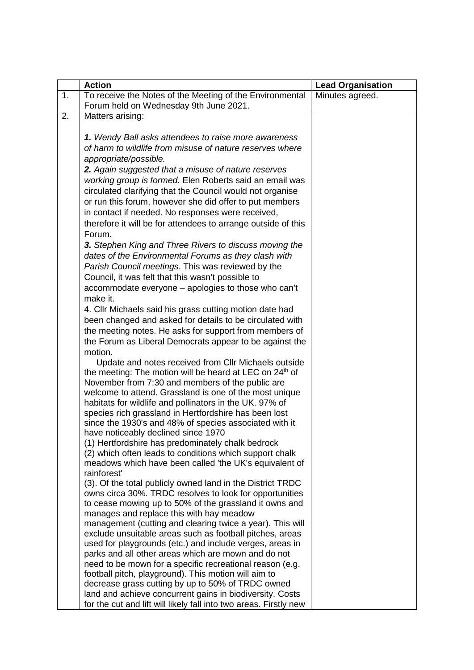|    | <b>Action</b>                                                                                                         | <b>Lead Organisation</b> |
|----|-----------------------------------------------------------------------------------------------------------------------|--------------------------|
| 1. | To receive the Notes of the Meeting of the Environmental<br>Forum held on Wednesday 9th June 2021.                    | Minutes agreed.          |
| 2. | Matters arising:                                                                                                      |                          |
|    |                                                                                                                       |                          |
|    | 1. Wendy Ball asks attendees to raise more awareness                                                                  |                          |
|    | of harm to wildlife from misuse of nature reserves where                                                              |                          |
|    | appropriate/possible.                                                                                                 |                          |
|    | 2. Again suggested that a misuse of nature reserves                                                                   |                          |
|    | working group is formed. Elen Roberts said an email was                                                               |                          |
|    | circulated clarifying that the Council would not organise                                                             |                          |
|    | or run this forum, however she did offer to put members<br>in contact if needed. No responses were received,          |                          |
|    | therefore it will be for attendees to arrange outside of this                                                         |                          |
|    | Forum.                                                                                                                |                          |
|    | 3. Stephen King and Three Rivers to discuss moving the                                                                |                          |
|    | dates of the Environmental Forums as they clash with                                                                  |                          |
|    | Parish Council meetings. This was reviewed by the                                                                     |                          |
|    | Council, it was felt that this wasn't possible to                                                                     |                          |
|    | accommodate everyone - apologies to those who can't                                                                   |                          |
|    | make it.                                                                                                              |                          |
|    | 4. Cllr Michaels said his grass cutting motion date had                                                               |                          |
|    | been changed and asked for details to be circulated with                                                              |                          |
|    | the meeting notes. He asks for support from members of                                                                |                          |
|    | the Forum as Liberal Democrats appear to be against the                                                               |                          |
|    | motion.<br>Update and notes received from Cllr Michaels outside                                                       |                          |
|    | the meeting: The motion will be heard at LEC on 24 <sup>th</sup> of                                                   |                          |
|    | November from 7:30 and members of the public are                                                                      |                          |
|    | welcome to attend. Grassland is one of the most unique                                                                |                          |
|    | habitats for wildlife and pollinators in the UK. 97% of                                                               |                          |
|    | species rich grassland in Hertfordshire has been lost                                                                 |                          |
|    | since the 1930's and 48% of species associated with it                                                                |                          |
|    | have noticeably declined since 1970                                                                                   |                          |
|    | (1) Hertfordshire has predominately chalk bedrock<br>(2) which often leads to conditions which support chalk          |                          |
|    | meadows which have been called 'the UK's equivalent of                                                                |                          |
|    | rainforest'                                                                                                           |                          |
|    | (3). Of the total publicly owned land in the District TRDC                                                            |                          |
|    | owns circa 30%. TRDC resolves to look for opportunities                                                               |                          |
|    | to cease mowing up to 50% of the grassland it owns and                                                                |                          |
|    | manages and replace this with hay meadow                                                                              |                          |
|    | management (cutting and clearing twice a year). This will<br>exclude unsuitable areas such as football pitches, areas |                          |
|    | used for playgrounds (etc.) and include verges, areas in                                                              |                          |
|    | parks and all other areas which are mown and do not                                                                   |                          |
|    | need to be mown for a specific recreational reason (e.g.                                                              |                          |
|    | football pitch, playground). This motion will aim to                                                                  |                          |
|    | decrease grass cutting by up to 50% of TRDC owned                                                                     |                          |
|    | land and achieve concurrent gains in biodiversity. Costs                                                              |                          |
|    | for the cut and lift will likely fall into two areas. Firstly new                                                     |                          |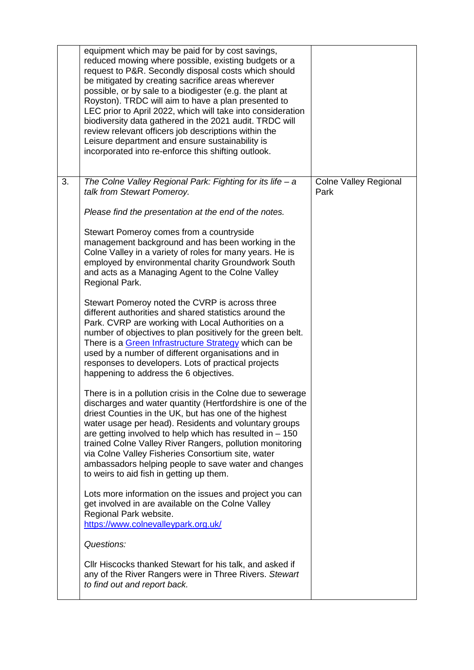|    | equipment which may be paid for by cost savings,<br>reduced mowing where possible, existing budgets or a<br>request to P&R. Secondly disposal costs which should<br>be mitigated by creating sacrifice areas wherever<br>possible, or by sale to a biodigester (e.g. the plant at<br>Royston). TRDC will aim to have a plan presented to<br>LEC prior to April 2022, which will take into consideration<br>biodiversity data gathered in the 2021 audit. TRDC will<br>review relevant officers job descriptions within the<br>Leisure department and ensure sustainability is<br>incorporated into re-enforce this shifting outlook. |                                      |
|----|--------------------------------------------------------------------------------------------------------------------------------------------------------------------------------------------------------------------------------------------------------------------------------------------------------------------------------------------------------------------------------------------------------------------------------------------------------------------------------------------------------------------------------------------------------------------------------------------------------------------------------------|--------------------------------------|
| 3. | The Colne Valley Regional Park: Fighting for its life $-a$<br>talk from Stewart Pomeroy.                                                                                                                                                                                                                                                                                                                                                                                                                                                                                                                                             | <b>Colne Valley Regional</b><br>Park |
|    | Please find the presentation at the end of the notes.                                                                                                                                                                                                                                                                                                                                                                                                                                                                                                                                                                                |                                      |
|    | Stewart Pomeroy comes from a countryside<br>management background and has been working in the<br>Colne Valley in a variety of roles for many years. He is<br>employed by environmental charity Groundwork South<br>and acts as a Managing Agent to the Colne Valley<br>Regional Park.                                                                                                                                                                                                                                                                                                                                                |                                      |
|    | Stewart Pomeroy noted the CVRP is across three<br>different authorities and shared statistics around the<br>Park. CVRP are working with Local Authorities on a<br>number of objectives to plan positively for the green belt.<br>There is a Green Infrastructure Strategy which can be<br>used by a number of different organisations and in<br>responses to developers. Lots of practical projects<br>happening to address the 6 objectives.                                                                                                                                                                                        |                                      |
|    | There is in a pollution crisis in the Colne due to sewerage<br>discharges and water quantity (Hertfordshire is one of the<br>driest Counties in the UK, but has one of the highest<br>water usage per head). Residents and voluntary groups<br>are getting involved to help which has resulted in $-150$<br>trained Colne Valley River Rangers, pollution monitoring<br>via Colne Valley Fisheries Consortium site, water<br>ambassadors helping people to save water and changes<br>to weirs to aid fish in getting up them.                                                                                                        |                                      |
|    | Lots more information on the issues and project you can<br>get involved in are available on the Colne Valley<br>Regional Park website.<br>https://www.colnevalleypark.org.uk/                                                                                                                                                                                                                                                                                                                                                                                                                                                        |                                      |
|    | Questions:                                                                                                                                                                                                                                                                                                                                                                                                                                                                                                                                                                                                                           |                                      |
|    | Cllr Hiscocks thanked Stewart for his talk, and asked if<br>any of the River Rangers were in Three Rivers. Stewart<br>to find out and report back.                                                                                                                                                                                                                                                                                                                                                                                                                                                                                   |                                      |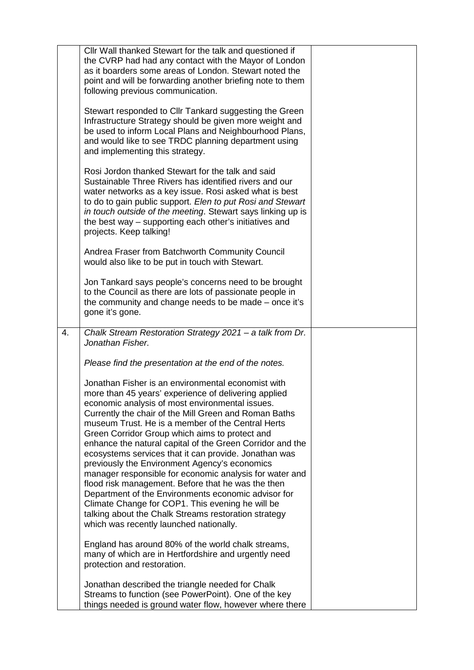|    | Cllr Wall thanked Stewart for the talk and questioned if<br>the CVRP had had any contact with the Mayor of London<br>as it boarders some areas of London. Stewart noted the<br>point and will be forwarding another briefing note to them<br>following previous communication.                                                                                                                                                                                                                                                                                                                                                                                                                                                                                                                                                      |  |
|----|-------------------------------------------------------------------------------------------------------------------------------------------------------------------------------------------------------------------------------------------------------------------------------------------------------------------------------------------------------------------------------------------------------------------------------------------------------------------------------------------------------------------------------------------------------------------------------------------------------------------------------------------------------------------------------------------------------------------------------------------------------------------------------------------------------------------------------------|--|
|    | Stewart responded to Cllr Tankard suggesting the Green<br>Infrastructure Strategy should be given more weight and<br>be used to inform Local Plans and Neighbourhood Plans,<br>and would like to see TRDC planning department using<br>and implementing this strategy.                                                                                                                                                                                                                                                                                                                                                                                                                                                                                                                                                              |  |
|    | Rosi Jordon thanked Stewart for the talk and said<br>Sustainable Three Rivers has identified rivers and our<br>water networks as a key issue. Rosi asked what is best<br>to do to gain public support. Elen to put Rosi and Stewart<br>in touch outside of the meeting. Stewart says linking up is<br>the best way - supporting each other's initiatives and<br>projects. Keep talking!                                                                                                                                                                                                                                                                                                                                                                                                                                             |  |
|    | Andrea Fraser from Batchworth Community Council<br>would also like to be put in touch with Stewart.                                                                                                                                                                                                                                                                                                                                                                                                                                                                                                                                                                                                                                                                                                                                 |  |
|    | Jon Tankard says people's concerns need to be brought<br>to the Council as there are lots of passionate people in<br>the community and change needs to be made – once it's<br>gone it's gone.                                                                                                                                                                                                                                                                                                                                                                                                                                                                                                                                                                                                                                       |  |
| 4. | Chalk Stream Restoration Strategy 2021 - a talk from Dr.<br>Jonathan Fisher.                                                                                                                                                                                                                                                                                                                                                                                                                                                                                                                                                                                                                                                                                                                                                        |  |
|    | Please find the presentation at the end of the notes.                                                                                                                                                                                                                                                                                                                                                                                                                                                                                                                                                                                                                                                                                                                                                                               |  |
|    | Jonathan Fisher is an environmental economist with<br>more than 45 years' experience of delivering applied<br>economic analysis of most environmental issues.<br>Currently the chair of the Mill Green and Roman Baths<br>museum Trust. He is a member of the Central Herts<br>Green Corridor Group which aims to protect and<br>enhance the natural capital of the Green Corridor and the<br>ecosystems services that it can provide. Jonathan was<br>previously the Environment Agency's economics<br>manager responsible for economic analysis for water and<br>flood risk management. Before that he was the then<br>Department of the Environments economic advisor for<br>Climate Change for COP1. This evening he will be<br>talking about the Chalk Streams restoration strategy<br>which was recently launched nationally. |  |
|    | England has around 80% of the world chalk streams,<br>many of which are in Hertfordshire and urgently need<br>protection and restoration.                                                                                                                                                                                                                                                                                                                                                                                                                                                                                                                                                                                                                                                                                           |  |
|    | Jonathan described the triangle needed for Chalk<br>Streams to function (see PowerPoint). One of the key<br>things needed is ground water flow, however where there                                                                                                                                                                                                                                                                                                                                                                                                                                                                                                                                                                                                                                                                 |  |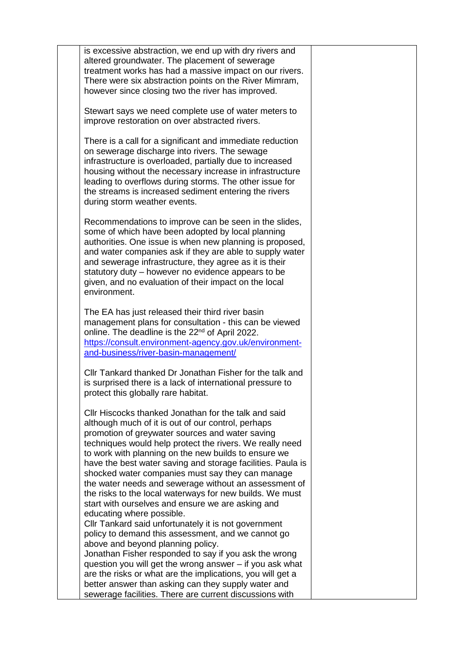| is excessive abstraction, we end up with dry rivers and<br>altered groundwater. The placement of sewerage<br>treatment works has had a massive impact on our rivers.<br>There were six abstraction points on the River Mimram,<br>however since closing two the river has improved.                                                                                                                                                                                                                                                                                            |  |
|--------------------------------------------------------------------------------------------------------------------------------------------------------------------------------------------------------------------------------------------------------------------------------------------------------------------------------------------------------------------------------------------------------------------------------------------------------------------------------------------------------------------------------------------------------------------------------|--|
| Stewart says we need complete use of water meters to<br>improve restoration on over abstracted rivers.                                                                                                                                                                                                                                                                                                                                                                                                                                                                         |  |
| There is a call for a significant and immediate reduction<br>on sewerage discharge into rivers. The sewage<br>infrastructure is overloaded, partially due to increased<br>housing without the necessary increase in infrastructure<br>leading to overflows during storms. The other issue for<br>the streams is increased sediment entering the rivers<br>during storm weather events.                                                                                                                                                                                         |  |
| Recommendations to improve can be seen in the slides,<br>some of which have been adopted by local planning<br>authorities. One issue is when new planning is proposed,<br>and water companies ask if they are able to supply water<br>and sewerage infrastructure, they agree as it is their<br>statutory duty – however no evidence appears to be<br>given, and no evaluation of their impact on the local<br>environment.                                                                                                                                                    |  |
| The EA has just released their third river basin<br>management plans for consultation - this can be viewed<br>online. The deadline is the 22 <sup>nd</sup> of April 2022.<br>https://consult.environment-agency.gov.uk/environment-<br>and-business/river-basin-management/                                                                                                                                                                                                                                                                                                    |  |
| Cllr Tankard thanked Dr Jonathan Fisher for the talk and<br>is surprised there is a lack of international pressure to<br>protect this globally rare habitat.                                                                                                                                                                                                                                                                                                                                                                                                                   |  |
| Cllr Hiscocks thanked Jonathan for the talk and said<br>although much of it is out of our control, perhaps<br>promotion of greywater sources and water saving<br>techniques would help protect the rivers. We really need<br>to work with planning on the new builds to ensure we<br>have the best water saving and storage facilities. Paula is<br>shocked water companies must say they can manage<br>the water needs and sewerage without an assessment of<br>the risks to the local waterways for new builds. We must<br>start with ourselves and ensure we are asking and |  |
| educating where possible.<br>Cllr Tankard said unfortunately it is not government<br>policy to demand this assessment, and we cannot go<br>above and beyond planning policy.<br>Jonathan Fisher responded to say if you ask the wrong<br>question you will get the wrong answer – if you ask what<br>are the risks or what are the implications, you will get a<br>better answer than asking can they supply water and                                                                                                                                                         |  |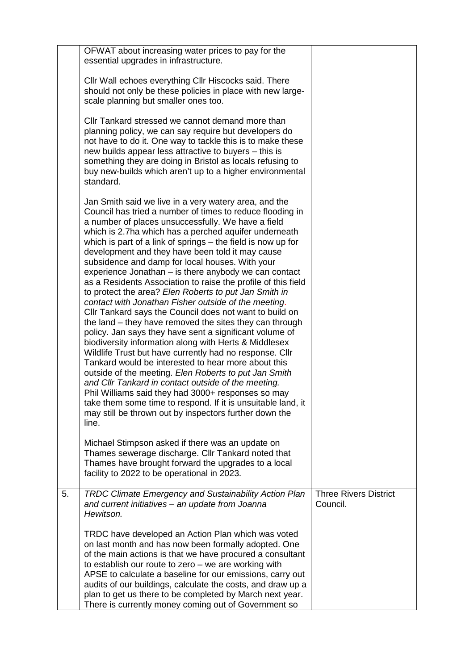|    | OFWAT about increasing water prices to pay for the<br>essential upgrades in infrastructure.                                                                                                                                                                                                                                                                                                                                                                                                                                                                                                                                                                                                                                                                                                                                                                                                                                                                                                                                                                                                                                                                                                                                                                                                                                |                                          |
|----|----------------------------------------------------------------------------------------------------------------------------------------------------------------------------------------------------------------------------------------------------------------------------------------------------------------------------------------------------------------------------------------------------------------------------------------------------------------------------------------------------------------------------------------------------------------------------------------------------------------------------------------------------------------------------------------------------------------------------------------------------------------------------------------------------------------------------------------------------------------------------------------------------------------------------------------------------------------------------------------------------------------------------------------------------------------------------------------------------------------------------------------------------------------------------------------------------------------------------------------------------------------------------------------------------------------------------|------------------------------------------|
|    | Cllr Wall echoes everything Cllr Hiscocks said. There<br>should not only be these policies in place with new large-<br>scale planning but smaller ones too.                                                                                                                                                                                                                                                                                                                                                                                                                                                                                                                                                                                                                                                                                                                                                                                                                                                                                                                                                                                                                                                                                                                                                                |                                          |
|    | Cllr Tankard stressed we cannot demand more than<br>planning policy, we can say require but developers do<br>not have to do it. One way to tackle this is to make these<br>new builds appear less attractive to buyers - this is<br>something they are doing in Bristol as locals refusing to<br>buy new-builds which aren't up to a higher environmental<br>standard.                                                                                                                                                                                                                                                                                                                                                                                                                                                                                                                                                                                                                                                                                                                                                                                                                                                                                                                                                     |                                          |
|    | Jan Smith said we live in a very watery area, and the<br>Council has tried a number of times to reduce flooding in<br>a number of places unsuccessfully. We have a field<br>which is 2.7ha which has a perched aquifer underneath<br>which is part of a link of springs $-$ the field is now up for<br>development and they have been told it may cause<br>subsidence and damp for local houses. With your<br>experience Jonathan - is there anybody we can contact<br>as a Residents Association to raise the profile of this field<br>to protect the area? Elen Roberts to put Jan Smith in<br>contact with Jonathan Fisher outside of the meeting.<br>Cllr Tankard says the Council does not want to build on<br>the land – they have removed the sites they can through<br>policy. Jan says they have sent a significant volume of<br>biodiversity information along with Herts & Middlesex<br>Wildlife Trust but have currently had no response. Cllr<br>Tankard would be interested to hear more about this<br>outside of the meeting. Elen Roberts to put Jan Smith<br>and Cllr Tankard in contact outside of the meeting.<br>Phil Williams said they had 3000+ responses so may<br>take them some time to respond. If it is unsuitable land, it<br>may still be thrown out by inspectors further down the<br>line. |                                          |
|    | Michael Stimpson asked if there was an update on<br>Thames sewerage discharge. Cllr Tankard noted that<br>Thames have brought forward the upgrades to a local<br>facility to 2022 to be operational in 2023.                                                                                                                                                                                                                                                                                                                                                                                                                                                                                                                                                                                                                                                                                                                                                                                                                                                                                                                                                                                                                                                                                                               |                                          |
| 5. | <b>TRDC Climate Emergency and Sustainability Action Plan</b><br>and current initiatives - an update from Joanna<br>Hewitson.                                                                                                                                                                                                                                                                                                                                                                                                                                                                                                                                                                                                                                                                                                                                                                                                                                                                                                                                                                                                                                                                                                                                                                                               | <b>Three Rivers District</b><br>Council. |
|    | TRDC have developed an Action Plan which was voted<br>on last month and has now been formally adopted. One<br>of the main actions is that we have procured a consultant<br>to establish our route to zero $-$ we are working with<br>APSE to calculate a baseline for our emissions, carry out<br>audits of our buildings, calculate the costs, and draw up a<br>plan to get us there to be completed by March next year.<br>There is currently money coming out of Government so                                                                                                                                                                                                                                                                                                                                                                                                                                                                                                                                                                                                                                                                                                                                                                                                                                          |                                          |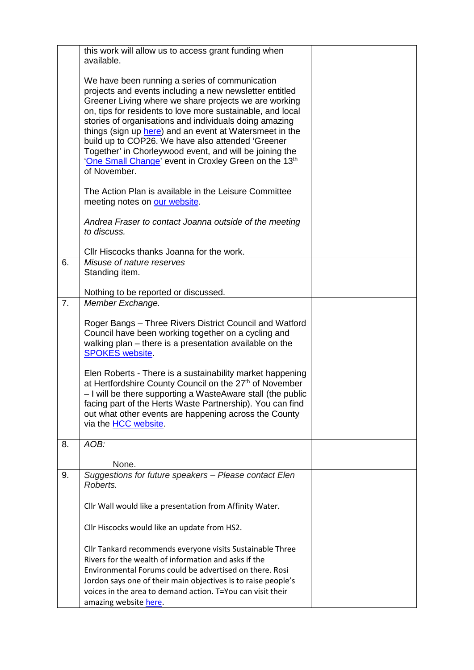|    | this work will allow us to access grant funding when<br>available.                                                                                                                                                                                                                                                                                                                                                                                                                                                                             |  |
|----|------------------------------------------------------------------------------------------------------------------------------------------------------------------------------------------------------------------------------------------------------------------------------------------------------------------------------------------------------------------------------------------------------------------------------------------------------------------------------------------------------------------------------------------------|--|
|    | We have been running a series of communication<br>projects and events including a new newsletter entitled<br>Greener Living where we share projects we are working<br>on, tips for residents to love more sustainable, and local<br>stories of organisations and individuals doing amazing<br>things (sign up here) and an event at Watersmeet in the<br>build up to COP26. We have also attended 'Greener<br>Together' in Chorleywood event, and will be joining the<br>'One Small Change' event in Croxley Green on the 13th<br>of November. |  |
|    | The Action Plan is available in the Leisure Committee<br>meeting notes on our website.                                                                                                                                                                                                                                                                                                                                                                                                                                                         |  |
|    | Andrea Fraser to contact Joanna outside of the meeting<br>to discuss.                                                                                                                                                                                                                                                                                                                                                                                                                                                                          |  |
|    | Cllr Hiscocks thanks Joanna for the work.                                                                                                                                                                                                                                                                                                                                                                                                                                                                                                      |  |
| 6. | Misuse of nature reserves<br>Standing item.                                                                                                                                                                                                                                                                                                                                                                                                                                                                                                    |  |
|    | Nothing to be reported or discussed.                                                                                                                                                                                                                                                                                                                                                                                                                                                                                                           |  |
| 7. | Member Exchange.                                                                                                                                                                                                                                                                                                                                                                                                                                                                                                                               |  |
|    | Roger Bangs - Three Rivers District Council and Watford<br>Council have been working together on a cycling and<br>walking plan – there is a presentation available on the<br><b>SPOKES</b> website                                                                                                                                                                                                                                                                                                                                             |  |
|    | Elen Roberts - There is a sustainability market happening<br>at Hertfordshire County Council on the 27 <sup>th</sup> of November<br>- I will be there supporting a WasteAware stall (the public<br>facing part of the Herts Waste Partnership). You can find<br>out what other events are happening across the County<br>via the <b>HCC</b> website.                                                                                                                                                                                           |  |
| 8. | AOB:                                                                                                                                                                                                                                                                                                                                                                                                                                                                                                                                           |  |
|    | None.                                                                                                                                                                                                                                                                                                                                                                                                                                                                                                                                          |  |
| 9. | Suggestions for future speakers - Please contact Elen<br>Roberts.                                                                                                                                                                                                                                                                                                                                                                                                                                                                              |  |
|    | Cllr Wall would like a presentation from Affinity Water.                                                                                                                                                                                                                                                                                                                                                                                                                                                                                       |  |
|    | Cllr Hiscocks would like an update from HS2.                                                                                                                                                                                                                                                                                                                                                                                                                                                                                                   |  |
|    | Cllr Tankard recommends everyone visits Sustainable Three<br>Rivers for the wealth of information and asks if the<br>Environmental Forums could be advertised on there. Rosi<br>Jordon says one of their main objectives is to raise people's<br>voices in the area to demand action. T=You can visit their<br>amazing website here.                                                                                                                                                                                                           |  |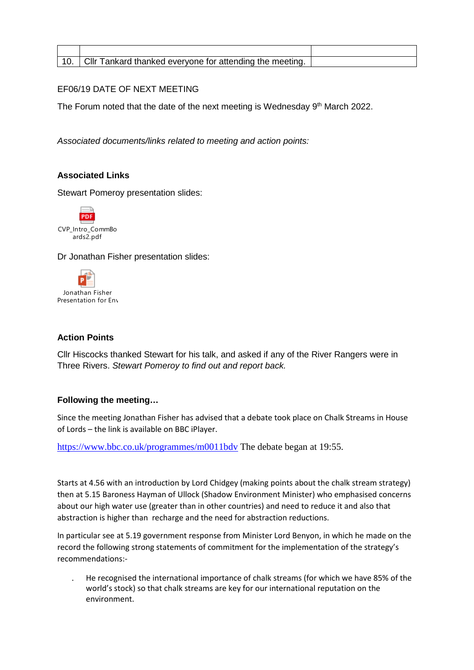| $\mu$ . Cllr Tankard thanked everyone for attending the meeting. |  |
|------------------------------------------------------------------|--|

# EF06/19 DATE OF NEXT MEETING

The Forum noted that the date of the next meeting is Wednesday 9<sup>th</sup> March 2022.

*Associated documents/links related to meeting and action points:* 

### **Associated Links**

Stewart Pomeroy presentation slides:



Dr Jonathan Fisher presentation slides:



# **Action Points**

Cllr Hiscocks thanked Stewart for his talk, and asked if any of the River Rangers were in Three Rivers. *Stewart Pomeroy to find out and report back.*

### **Following the meeting…**

Since the meeting Jonathan Fisher has advised that a debate took place on Chalk Streams in House of Lords – the link is available on BBC iPlayer.

<https://www.bbc.co.uk/programmes/m0011bdv> The debate began at 19:55.

Starts at 4.56 with an introduction by Lord Chidgey (making points about the chalk stream strategy) then at 5.15 Baroness Hayman of Ullock (Shadow Environment Minister) who emphasised concerns about our high water use (greater than in other countries) and need to reduce it and also that abstraction is higher than recharge and the need for abstraction reductions.

In particular see at 5.19 government response from Minister Lord Benyon, in which he made on the record the following strong statements of commitment for the implementation of the strategy's recommendations:-

. He recognised the international importance of chalk streams (for which we have 85% of the world's stock) so that chalk streams are key for our international reputation on the environment.